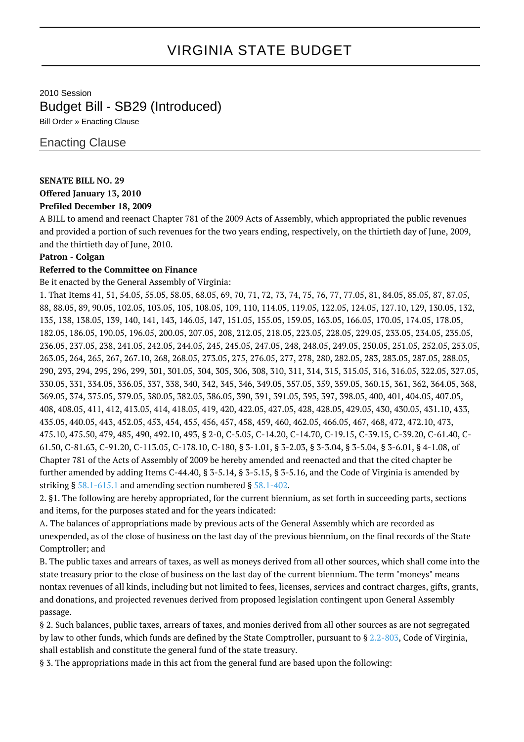# VIRGINIA STATE BUDGET

## 2010 Session Budget Bill - SB29 (Introduced)

Bill Order » Enacting Clause

### Enacting Clause

### **SENATE BILL NO. 29**

# **Offered January 13, 2010**

### **Prefiled December 18, 2009**

A BILL to amend and reenact Chapter 781 of the 2009 Acts of Assembly, which appropriated the public revenues and provided a portion of such revenues for the two years ending, respectively, on the thirtieth day of June, 2009, and the thirtieth day of June, 2010.

#### **Patron - Colgan**

#### **Referred to the Committee on Finance**

Be it enacted by the General Assembly of Virginia:

1. That Items 41, 51, 54.05, 55.05, 58.05, 68.05, 69, 70, 71, 72, 73, 74, 75, 76, 77, 77.05, 81, 84.05, 85.05, 87, 87.05, 88, 88.05, 89, 90.05, 102.05, 103.05, 105, 108.05, 109, 110, 114.05, 119.05, 122.05, 124.05, 127.10, 129, 130.05, 132, 135, 138, 138.05, 139, 140, 141, 143, 146.05, 147, 151.05, 155.05, 159.05, 163.05, 166.05, 170.05, 174.05, 178.05, 182.05, 186.05, 190.05, 196.05, 200.05, 207.05, 208, 212.05, 218.05, 223.05, 228.05, 229.05, 233.05, 234.05, 235.05, 236.05, 237.05, 238, 241.05, 242.05, 244.05, 245, 245.05, 247.05, 248, 248.05, 249.05, 250.05, 251.05, 252.05, 253.05, 263.05, 264, 265, 267, 267.10, 268, 268.05, 273.05, 275, 276.05, 277, 278, 280, 282.05, 283, 283.05, 287.05, 288.05, 290, 293, 294, 295, 296, 299, 301, 301.05, 304, 305, 306, 308, 310, 311, 314, 315, 315.05, 316, 316.05, 322.05, 327.05, 330.05, 331, 334.05, 336.05, 337, 338, 340, 342, 345, 346, 349.05, 357.05, 359, 359.05, 360.15, 361, 362, 364.05, 368, 369.05, 374, 375.05, 379.05, 380.05, 382.05, 386.05, 390, 391, 391.05, 395, 397, 398.05, 400, 401, 404.05, 407.05, 408, 408.05, 411, 412, 413.05, 414, 418.05, 419, 420, 422.05, 427.05, 428, 428.05, 429.05, 430, 430.05, 431.10, 433, 435.05, 440.05, 443, 452.05, 453, 454, 455, 456, 457, 458, 459, 460, 462.05, 466.05, 467, 468, 472, 472.10, 473, 475.10, 475.50, 479, 485, 490, 492.10, 493, § 2-0, C-5.05, C-14.20, C-14.70, C-19.15, C-39.15, C-39.20, C-61.40, C-61.50, C-81.63, C-91.20, C-113.05, C-178.10, C-180, § 3-1.01, § 3-2.03, § 3-3.04, § 3-5.04, § 3-6.01, § 4-1.08, of Chapter 781 of the Acts of Assembly of 2009 be hereby amended and reenacted and that the cited chapter be further amended by adding Items C-44.40, § 3-5.14, § 3-5.15, § 3-5.16, and the Code of Virginia is amended by striking § [58.1-615.1](http://law.lis.virginia.gov/vacode/58.1-615.1/) and amending section numbered § [58.1-402.](http://law.lis.virginia.gov/vacode/58.1-402/)

2. §1. The following are hereby appropriated, for the current biennium, as set forth in succeeding parts, sections and items, for the purposes stated and for the years indicated:

A. The balances of appropriations made by previous acts of the General Assembly which are recorded as unexpended, as of the close of business on the last day of the previous biennium, on the final records of the State Comptroller; and

B. The public taxes and arrears of taxes, as well as moneys derived from all other sources, which shall come into the state treasury prior to the close of business on the last day of the current biennium. The term "moneys" means nontax revenues of all kinds, including but not limited to fees, licenses, services and contract charges, gifts, grants, and donations, and projected revenues derived from proposed legislation contingent upon General Assembly passage.

§ 2. Such balances, public taxes, arrears of taxes, and monies derived from all other sources as are not segregated by law to other funds, which funds are defined by the State Comptroller, pursuant to § [2.2-803,](http://law.lis.virginia.gov/vacode/2.2-803/) Code of Virginia, shall establish and constitute the general fund of the state treasury.

§ 3. The appropriations made in this act from the general fund are based upon the following: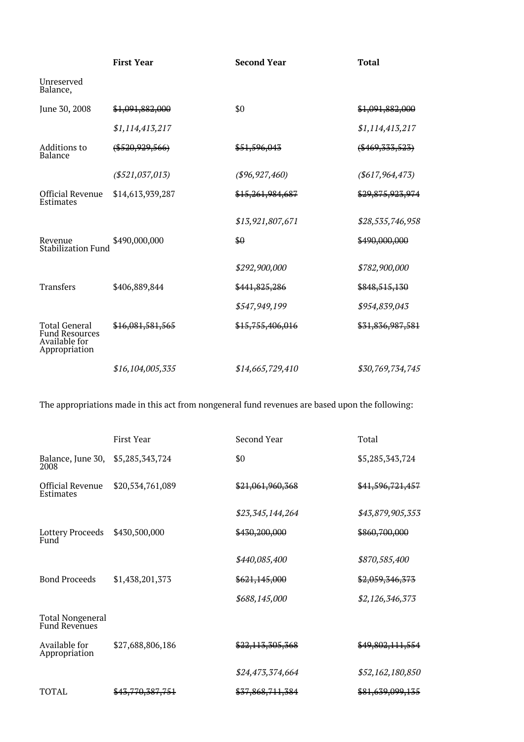|                                                                                 | <b>First Year</b>  | <b>Second Year</b> | <b>Total</b>       |
|---------------------------------------------------------------------------------|--------------------|--------------------|--------------------|
| Unreserved<br>Balance,                                                          |                    |                    |                    |
| June 30, 2008                                                                   | \$1,091,882,000    | \$0                | \$1,091,882,000    |
|                                                                                 | \$1,114,413,217    |                    | \$1,114,413,217    |
| Additions to<br><b>Balance</b>                                                  | $(*520, 929, 566)$ | \$51,596,043       | $(*469, 333, 523)$ |
|                                                                                 | ( \$521,037,013)   | ( \$96, 927, 460)  | ( \$617, 964, 473) |
| <b>Official Revenue</b><br>Estimates                                            | \$14,613,939,287   | \$15,261,984,687   | \$29,875,923,974   |
|                                                                                 |                    | \$13,921,807,671   | \$28,535,746,958   |
| Revenue<br><b>Stabilization Fund</b>                                            | \$490,000,000      | \$0                | \$490,000,000      |
|                                                                                 |                    | \$292,900,000      | \$782,900,000      |
| <b>Transfers</b>                                                                | \$406,889,844      | \$441,825,286      | \$848,515,130      |
|                                                                                 |                    | \$547,949,199      | \$954,839,043      |
| <b>Total General</b><br><b>Fund Resources</b><br>Available for<br>Appropriation | \$16,081,581,565   | \$15,755,406,016   | \$31,836,987,581   |
|                                                                                 | \$16,104,005,335   | \$14,665,729,410   | \$30,769,734,745   |

The appropriations made in this act from nongeneral fund revenues are based upon the following:

|                                                 | First Year       | Second Year      | Total                       |
|-------------------------------------------------|------------------|------------------|-----------------------------|
| Balance, June 30,<br>2008                       | \$5,285,343,724  | \$0              | \$5,285,343,724             |
| <b>Official Revenue</b><br>Estimates            | \$20,534,761,089 | \$21,061,960,368 | <del>\$41,596,721,457</del> |
|                                                 |                  | \$23,345,144,264 | \$43,879,905,353            |
| Lottery Proceeds<br>Fund                        | \$430,500,000    | \$430,200,000    | \$860,700,000               |
|                                                 |                  | \$440,085,400    | \$870,585,400               |
| <b>Bond Proceeds</b>                            | \$1,438,201,373  | \$621,145,000    | \$2,059,346,373             |
|                                                 |                  | \$688,145,000    | \$2,126,346,373             |
| <b>Total Nongeneral</b><br><b>Fund Revenues</b> |                  |                  |                             |
| Available for<br>Appropriation                  | \$27,688,806,186 | \$22,113,305,368 | \$49,802,111,554            |
|                                                 |                  | \$24,473,374,664 | \$52,162,180,850            |
| <b>TOTAL</b>                                    | \$43,770,387,751 | \$37,868,711,384 | \$81,639,099,135            |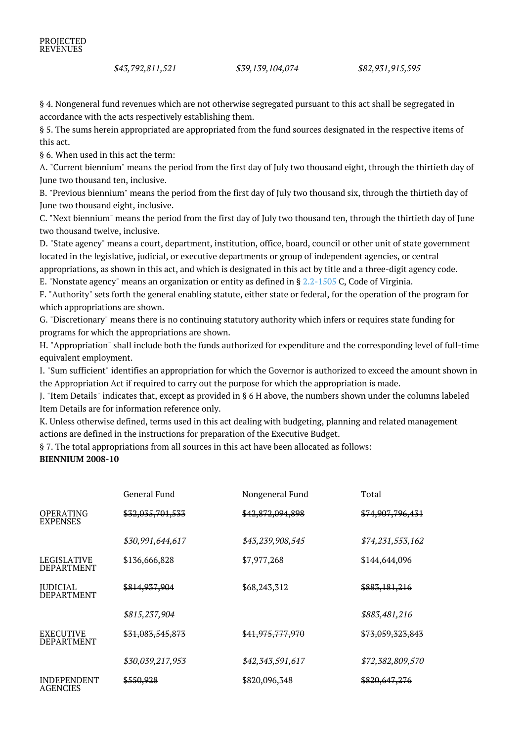§ 4. Nongeneral fund revenues which are not otherwise segregated pursuant to this act shall be segregated in accordance with the acts respectively establishing them.

§ 5. The sums herein appropriated are appropriated from the fund sources designated in the respective items of this act.

§ 6. When used in this act the term:

A. "Current biennium" means the period from the first day of July two thousand eight, through the thirtieth day of June two thousand ten, inclusive.

B. "Previous biennium" means the period from the first day of July two thousand six, through the thirtieth day of June two thousand eight, inclusive.

C. "Next biennium" means the period from the first day of July two thousand ten, through the thirtieth day of June two thousand twelve, inclusive.

D. "State agency" means a court, department, institution, office, board, council or other unit of state government located in the legislative, judicial, or executive departments or group of independent agencies, or central appropriations, as shown in this act, and which is designated in this act by title and a three-digit agency code.

E. "Nonstate agency" means an organization or entity as defined in § [2.2-1505](http://law.lis.virginia.gov/vacode/2.2-1505/) C, Code of Virginia.

F. "Authority" sets forth the general enabling statute, either state or federal, for the operation of the program for which appropriations are shown.

G. "Discretionary" means there is no continuing statutory authority which infers or requires state funding for programs for which the appropriations are shown.

H. "Appropriation" shall include both the funds authorized for expenditure and the corresponding level of full-time equivalent employment.

I. "Sum sufficient" identifies an appropriation for which the Governor is authorized to exceed the amount shown in the Appropriation Act if required to carry out the purpose for which the appropriation is made.

J. "Item Details" indicates that, except as provided in § 6 H above, the numbers shown under the columns labeled Item Details are for information reference only.

K. Unless otherwise defined, terms used in this act dealing with budgeting, planning and related management actions are defined in the instructions for preparation of the Executive Budget.

§ 7. The total appropriations from all sources in this act have been allocated as follows: **BIENNIUM 2008-10**

|                                         | General Fund             | Nongeneral Fund  | Total                       |
|-----------------------------------------|--------------------------|------------------|-----------------------------|
| <b>OPERATING</b><br><b>EXPENSES</b>     | \$32,035,701,533         | \$42,872,094,898 | <del>\$74,907,796,431</del> |
|                                         | \$30,991,644,617         | \$43,239,908,545 | \$74,231,553,162            |
| <b>LEGISLATIVE</b><br><b>DEPARTMENT</b> | \$136,666,828            | \$7,977,268      | \$144,644,096               |
| <b>IUDICIAL</b><br><b>DEPARTMENT</b>    | <del>\$814,937,904</del> | \$68,243,312     | <del>\$883,181,216</del>    |
|                                         | \$815,237,904            |                  | \$883,481,216               |
| <b>EXECUTIVE</b><br><b>DEPARTMENT</b>   | \$31,083,545,873         | \$41,975,777,970 | \$73,059,323,843            |
|                                         | \$30,039,217,953         | \$42,343,591,617 | \$72,382,809,570            |
| <b>INDEPENDENT</b><br><b>AGENCIES</b>   | <del>\$550,928</del>     | \$820,096,348    | <del>\$820,647,276</del>    |